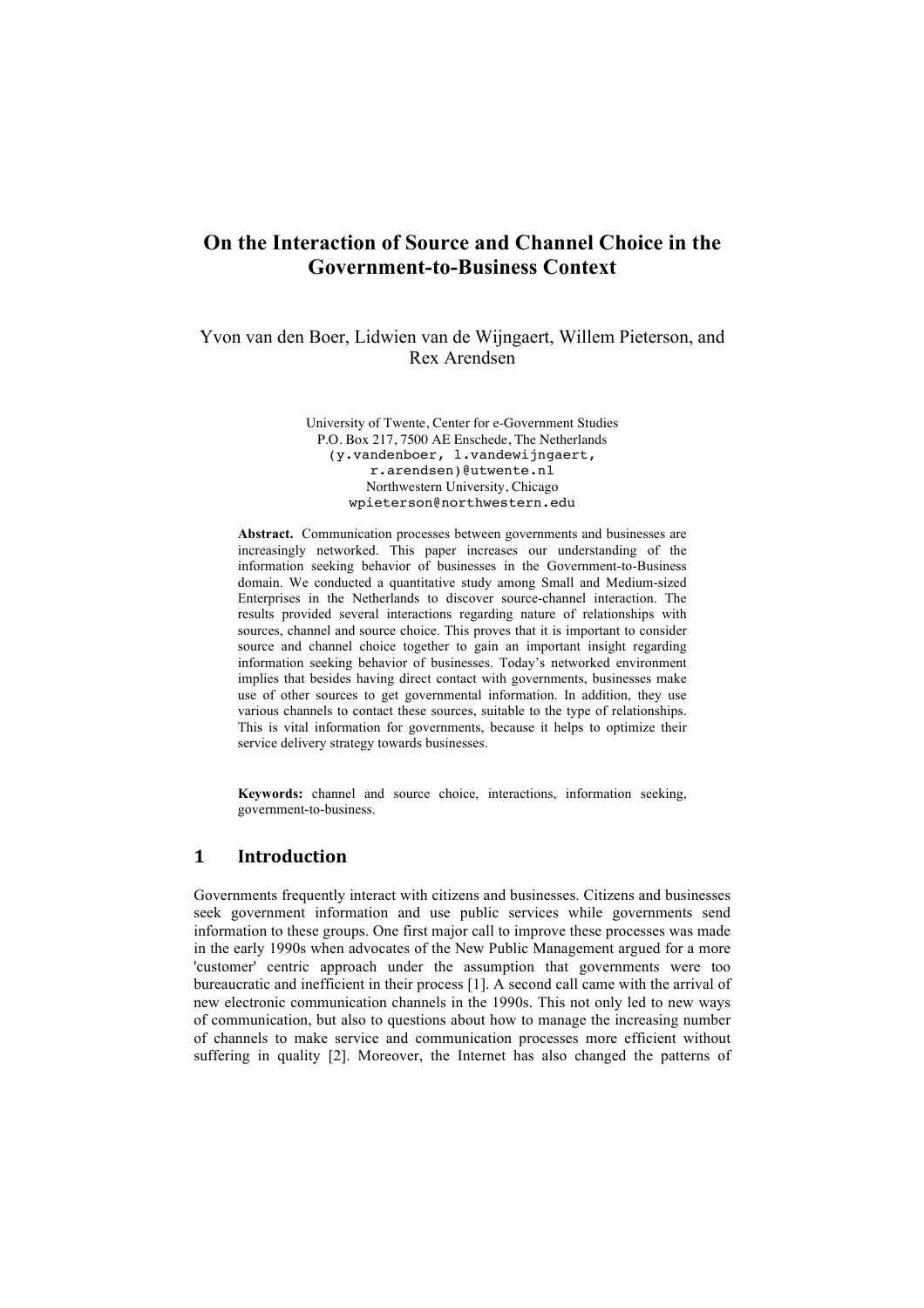# **On the Interaction of Source and Channel Choice in the Government-to-Business Context**

# Yvon van den Boer, Lidwien van de Wijngaert, Willem Pieterson, and Rex Arendsen

University of Twente, Center for e-Government Studies P.O. Box 217, 7500 AE Enschede, The Netherlands (y.vandenboer, l.vandewijngaert, r.arendsen)@utwente.nl Northwestern University, Chicago wpieterson@northwestern.edu

**Abstract.** Communication processes between governments and businesses are increasingly networked. This paper increases our understanding of the information seeking behavior of businesses in the Government-to-Business domain. We conducted a quantitative study among Small and Medium-sized Enterprises in the Netherlands to discover source-channel interaction. The results provided several interactions regarding nature of relationships with sources, channel and source choice. This proves that it is important to consider source and channel choice together to gain an important insight regarding information seeking behavior of businesses. Today's networked environment implies that besides having direct contact with governments, businesses make use of other sources to get governmental information. In addition, they use various channels to contact these sources, suitable to the type of relationships. This is vital information for governments, because it helps to optimize their service delivery strategy towards businesses.

**Keywords:** channel and source choice, interactions, information seeking, government-to-business.

# **1 Introduction**

Governments frequently interact with citizens and businesses. Citizens and businesses seek government information and use public services while governments send information to these groups. One first major call to improve these processes was made in the early 1990s when advocates of the New Public Management argued for a more 'customer' centric approach under the assumption that governments were too bureaucratic and inefficient in their process [1]. A second call came with the arrival of new electronic communication channels in the 1990s. This not only led to new ways of communication, but also to questions about how to manage the increasing number of channels to make service and communication processes more efficient without suffering in quality [2]. Moreover, the Internet has also changed the patterns of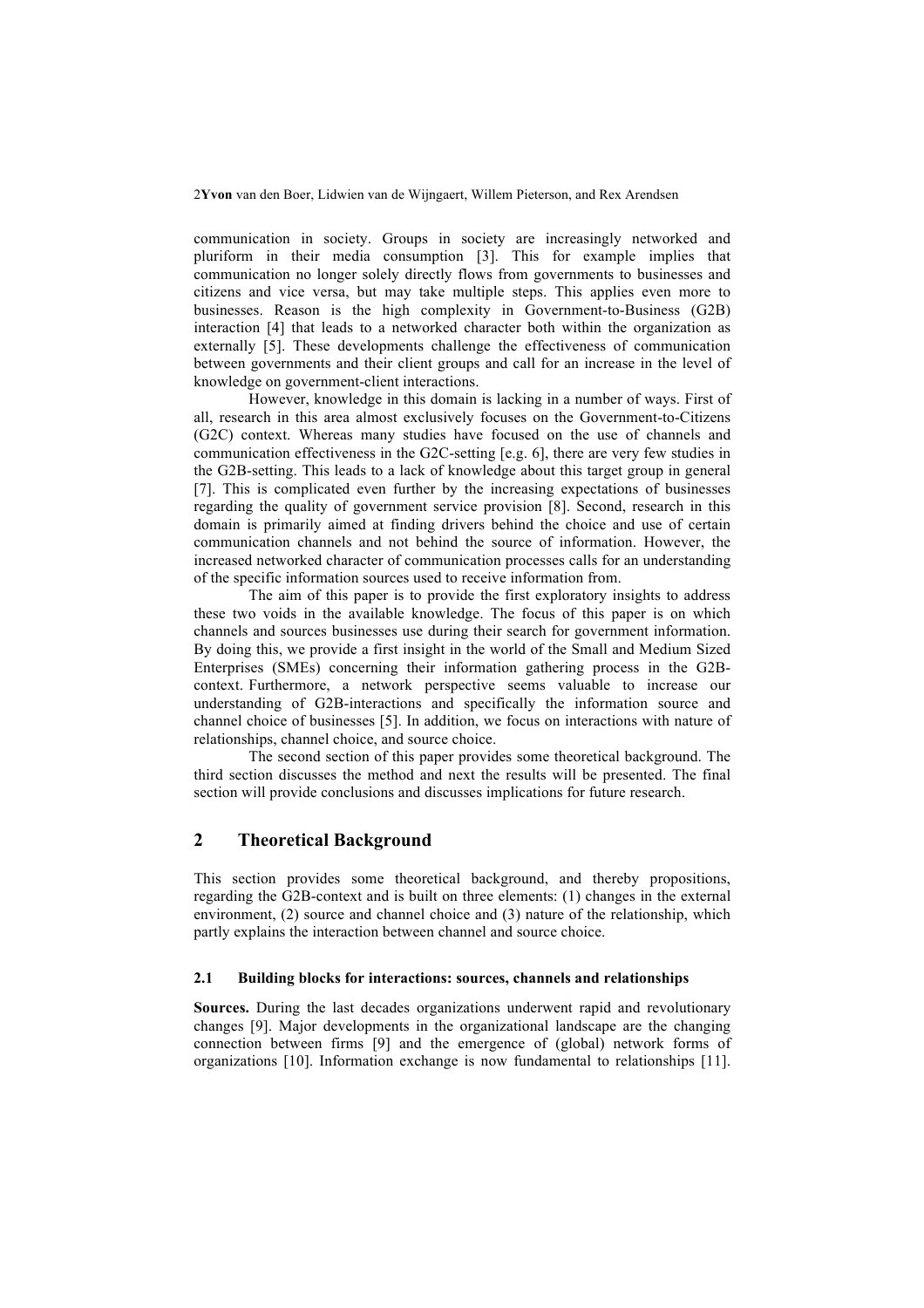communication in society. Groups in society are increasingly networked and pluriform in their media consumption [3]. This for example implies that communication no longer solely directly flows from governments to businesses and citizens and vice versa, but may take multiple steps. This applies even more to businesses. Reason is the high complexity in Government-to-Business (G2B) interaction [4] that leads to a networked character both within the organization as externally [5]. These developments challenge the effectiveness of communication between governments and their client groups and call for an increase in the level of knowledge on government-client interactions.

However, knowledge in this domain is lacking in a number of ways. First of all, research in this area almost exclusively focuses on the Government-to-Citizens (G2C) context. Whereas many studies have focused on the use of channels and communication effectiveness in the G2C-setting [e.g. 6], there are very few studies in the G2B-setting. This leads to a lack of knowledge about this target group in general [7]. This is complicated even further by the increasing expectations of businesses regarding the quality of government service provision [8]. Second, research in this domain is primarily aimed at finding drivers behind the choice and use of certain communication channels and not behind the source of information. However, the increased networked character of communication processes calls for an understanding of the specific information sources used to receive information from.

The aim of this paper is to provide the first exploratory insights to address these two voids in the available knowledge. The focus of this paper is on which channels and sources businesses use during their search for government information. By doing this, we provide a first insight in the world of the Small and Medium Sized Enterprises (SMEs) concerning their information gathering process in the G2Bcontext. Furthermore, a network perspective seems valuable to increase our understanding of G2B-interactions and specifically the information source and channel choice of businesses [5]. In addition, we focus on interactions with nature of relationships, channel choice, and source choice.

The second section of this paper provides some theoretical background. The third section discusses the method and next the results will be presented. The final section will provide conclusions and discusses implications for future research.

# **2 Theoretical Background**

This section provides some theoretical background, and thereby propositions, regarding the G2B-context and is built on three elements: (1) changes in the external environment, (2) source and channel choice and (3) nature of the relationship, which partly explains the interaction between channel and source choice.

# **2.1 Building blocks for interactions: sources, channels and relationships**

**Sources.** During the last decades organizations underwent rapid and revolutionary changes [9]. Major developments in the organizational landscape are the changing connection between firms [9] and the emergence of (global) network forms of organizations [10]. Information exchange is now fundamental to relationships [11].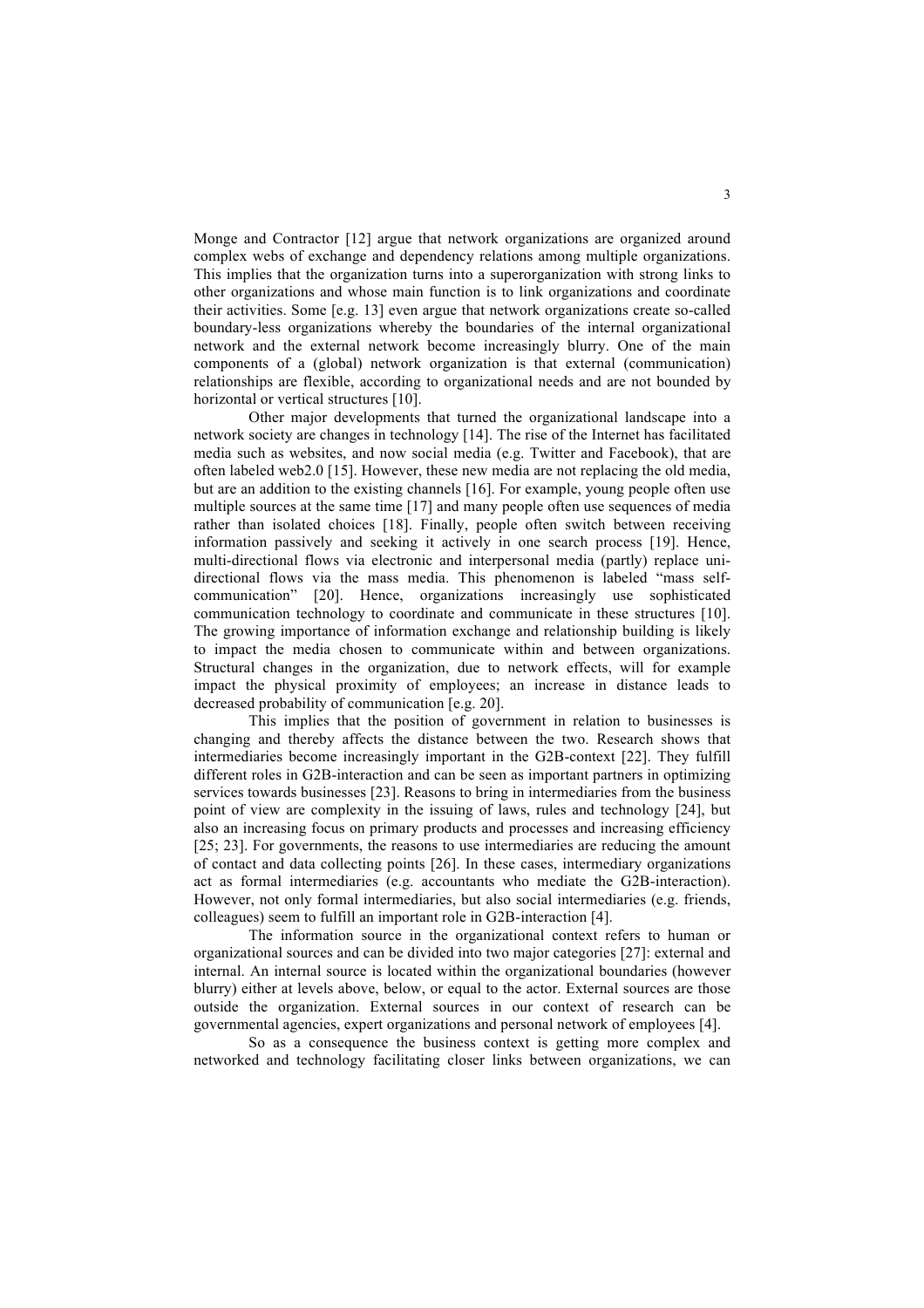Monge and Contractor [12] argue that network organizations are organized around complex webs of exchange and dependency relations among multiple organizations. This implies that the organization turns into a superorganization with strong links to other organizations and whose main function is to link organizations and coordinate their activities. Some [e.g. 13] even argue that network organizations create so-called boundary-less organizations whereby the boundaries of the internal organizational network and the external network become increasingly blurry. One of the main components of a (global) network organization is that external (communication) relationships are flexible, according to organizational needs and are not bounded by horizontal or vertical structures [10].

Other major developments that turned the organizational landscape into a network society are changes in technology [14]. The rise of the Internet has facilitated media such as websites, and now social media (e.g. Twitter and Facebook), that are often labeled web2.0 [15]. However, these new media are not replacing the old media, but are an addition to the existing channels [16]. For example, young people often use multiple sources at the same time [17] and many people often use sequences of media rather than isolated choices [18]. Finally, people often switch between receiving information passively and seeking it actively in one search process [19]. Hence, multi-directional flows via electronic and interpersonal media (partly) replace unidirectional flows via the mass media. This phenomenon is labeled "mass selfcommunication" [20]. Hence, organizations increasingly use sophisticated communication technology to coordinate and communicate in these structures [10]. The growing importance of information exchange and relationship building is likely to impact the media chosen to communicate within and between organizations. Structural changes in the organization, due to network effects, will for example impact the physical proximity of employees; an increase in distance leads to decreased probability of communication [e.g. 20].

This implies that the position of government in relation to businesses is changing and thereby affects the distance between the two. Research shows that intermediaries become increasingly important in the G2B-context [22]. They fulfill different roles in G2B-interaction and can be seen as important partners in optimizing services towards businesses [23]. Reasons to bring in intermediaries from the business point of view are complexity in the issuing of laws, rules and technology [24], but also an increasing focus on primary products and processes and increasing efficiency [25; 23]. For governments, the reasons to use intermediaries are reducing the amount of contact and data collecting points [26]. In these cases, intermediary organizations act as formal intermediaries (e.g. accountants who mediate the G2B-interaction). However, not only formal intermediaries, but also social intermediaries (e.g. friends, colleagues) seem to fulfill an important role in G2B-interaction [4].

The information source in the organizational context refers to human or organizational sources and can be divided into two major categories [27]: external and internal. An internal source is located within the organizational boundaries (however blurry) either at levels above, below, or equal to the actor. External sources are those outside the organization. External sources in our context of research can be governmental agencies, expert organizations and personal network of employees [4].

So as a consequence the business context is getting more complex and networked and technology facilitating closer links between organizations, we can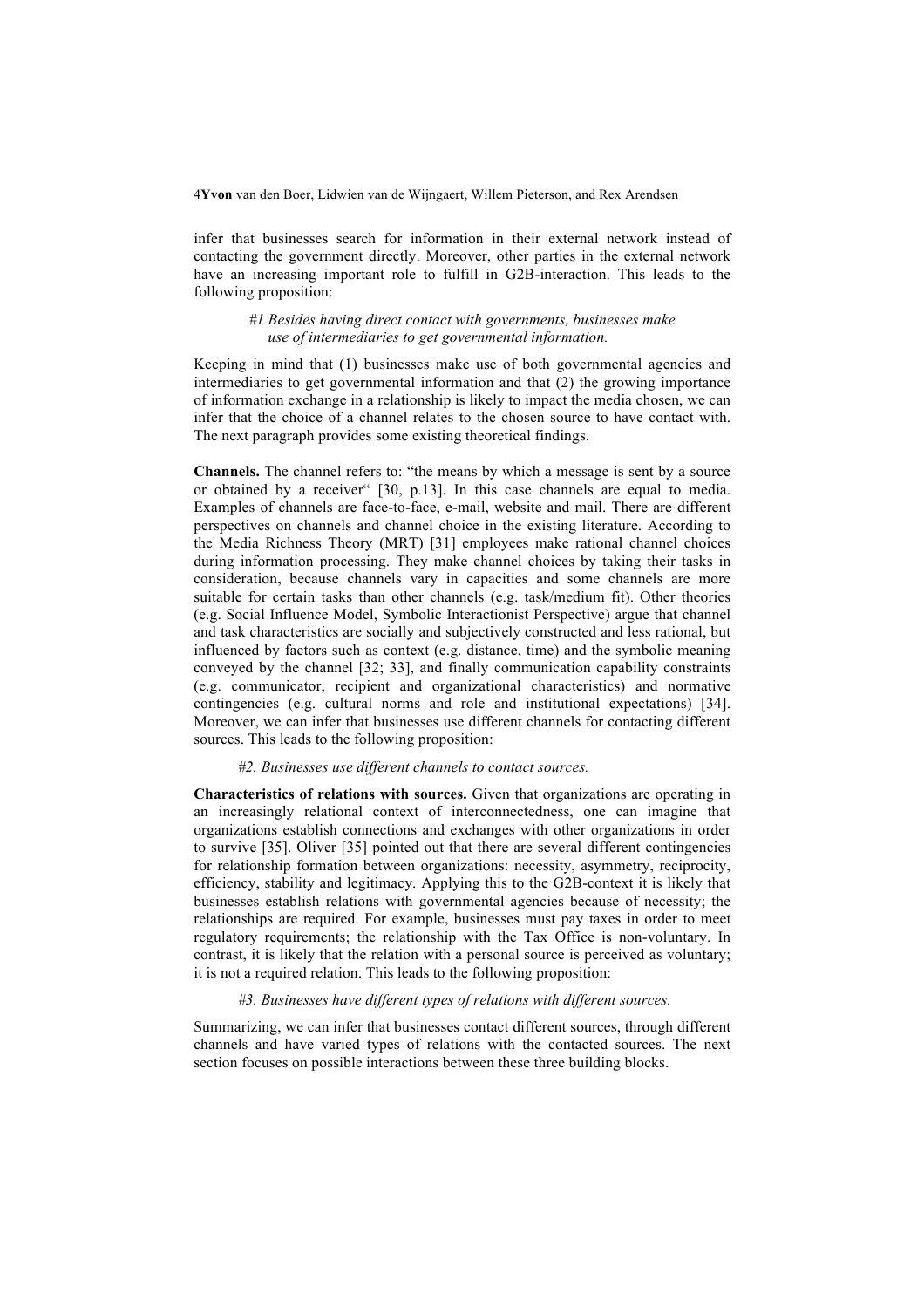infer that businesses search for information in their external network instead of contacting the government directly. Moreover, other parties in the external network have an increasing important role to fulfill in G2B-interaction. This leads to the following proposition:

> *#1 Besides having direct contact with governments, businesses make use of intermediaries to get governmental information.*

Keeping in mind that (1) businesses make use of both governmental agencies and intermediaries to get governmental information and that (2) the growing importance of information exchange in a relationship is likely to impact the media chosen, we can infer that the choice of a channel relates to the chosen source to have contact with. The next paragraph provides some existing theoretical findings.

**Channels.** The channel refers to: "the means by which a message is sent by a source or obtained by a receiver" [30, p.13]. In this case channels are equal to media. Examples of channels are face-to-face, e-mail, website and mail. There are different perspectives on channels and channel choice in the existing literature. According to the Media Richness Theory (MRT) [31] employees make rational channel choices during information processing. They make channel choices by taking their tasks in consideration, because channels vary in capacities and some channels are more suitable for certain tasks than other channels (e.g. task/medium fit). Other theories (e.g. Social Influence Model, Symbolic Interactionist Perspective) argue that channel and task characteristics are socially and subjectively constructed and less rational, but influenced by factors such as context (e.g. distance, time) and the symbolic meaning conveyed by the channel [32; 33], and finally communication capability constraints (e.g. communicator, recipient and organizational characteristics) and normative contingencies (e.g. cultural norms and role and institutional expectations) [34]. Moreover, we can infer that businesses use different channels for contacting different sources. This leads to the following proposition:

#### *#2. Businesses use different channels to contact sources.*

**Characteristics of relations with sources.** Given that organizations are operating in an increasingly relational context of interconnectedness, one can imagine that organizations establish connections and exchanges with other organizations in order to survive [35]. Oliver [35] pointed out that there are several different contingencies for relationship formation between organizations: necessity, asymmetry, reciprocity, efficiency, stability and legitimacy. Applying this to the G2B-context it is likely that businesses establish relations with governmental agencies because of necessity; the relationships are required. For example, businesses must pay taxes in order to meet regulatory requirements; the relationship with the Tax Office is non-voluntary. In contrast, it is likely that the relation with a personal source is perceived as voluntary; it is not a required relation. This leads to the following proposition:

### *#3. Businesses have different types of relations with different sources.*

Summarizing, we can infer that businesses contact different sources, through different channels and have varied types of relations with the contacted sources. The next section focuses on possible interactions between these three building blocks.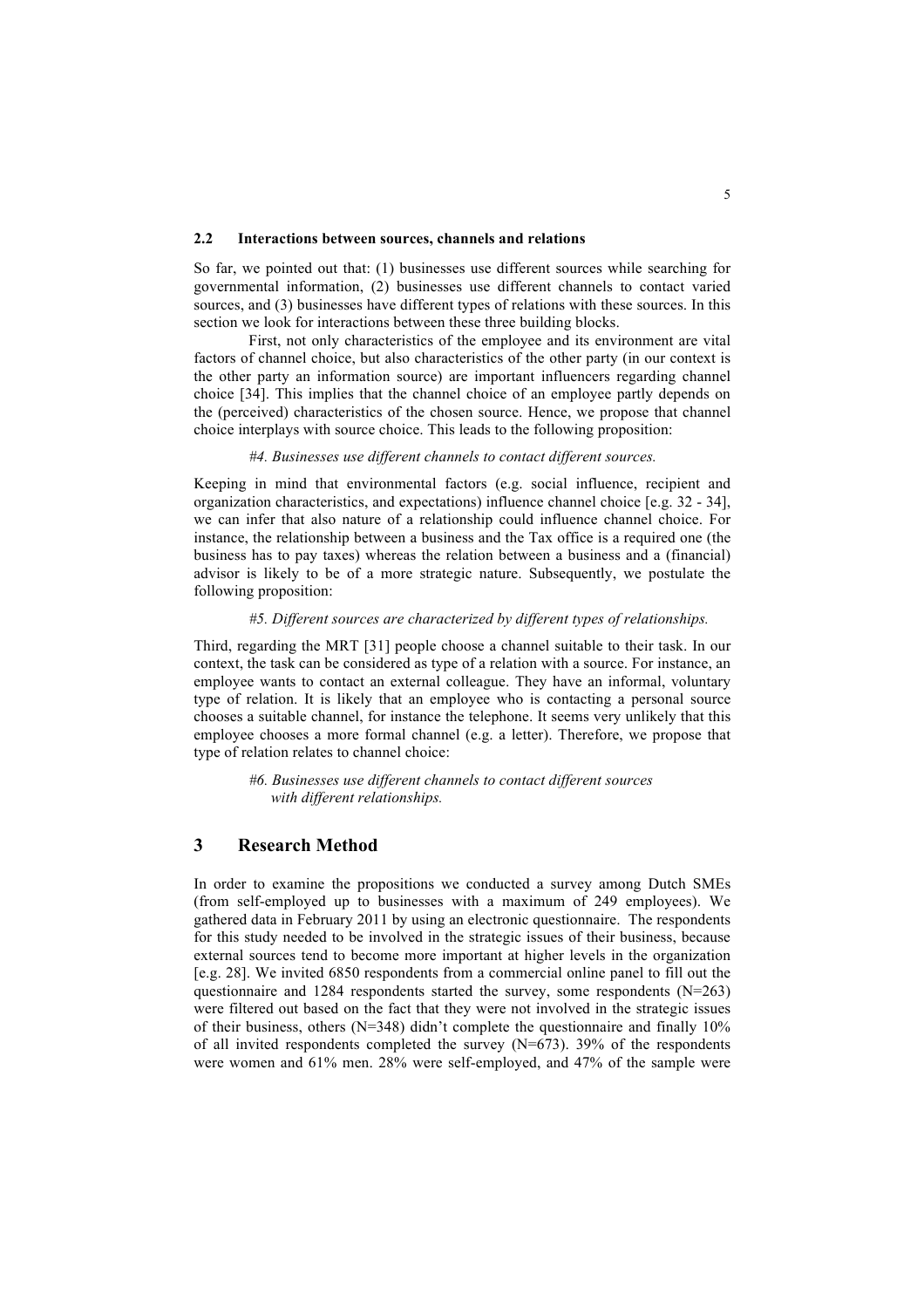#### **2.2 Interactions between sources, channels and relations**

So far, we pointed out that: (1) businesses use different sources while searching for governmental information, (2) businesses use different channels to contact varied sources, and (3) businesses have different types of relations with these sources. In this section we look for interactions between these three building blocks.

First, not only characteristics of the employee and its environment are vital factors of channel choice, but also characteristics of the other party (in our context is the other party an information source) are important influencers regarding channel choice [34]. This implies that the channel choice of an employee partly depends on the (perceived) characteristics of the chosen source. Hence, we propose that channel choice interplays with source choice. This leads to the following proposition:

#### *#4. Businesses use different channels to contact different sources.*

Keeping in mind that environmental factors (e.g. social influence, recipient and organization characteristics, and expectations) influence channel choice [e.g. 32 - 34], we can infer that also nature of a relationship could influence channel choice. For instance, the relationship between a business and the Tax office is a required one (the business has to pay taxes) whereas the relation between a business and a (financial) advisor is likely to be of a more strategic nature. Subsequently, we postulate the following proposition:

### *#5. Different sources are characterized by different types of relationships.*

Third, regarding the MRT [31] people choose a channel suitable to their task. In our context, the task can be considered as type of a relation with a source. For instance, an employee wants to contact an external colleague. They have an informal, voluntary type of relation. It is likely that an employee who is contacting a personal source chooses a suitable channel, for instance the telephone. It seems very unlikely that this employee chooses a more formal channel (e.g. a letter). Therefore, we propose that type of relation relates to channel choice:

*#6. Businesses use different channels to contact different sources with different relationships.* 

# **3 Research Method**

In order to examine the propositions we conducted a survey among Dutch SMEs (from self-employed up to businesses with a maximum of 249 employees). We gathered data in February 2011 by using an electronic questionnaire. The respondents for this study needed to be involved in the strategic issues of their business, because external sources tend to become more important at higher levels in the organization [e.g. 28]. We invited 6850 respondents from a commercial online panel to fill out the questionnaire and 1284 respondents started the survey, some respondents (N=263) were filtered out based on the fact that they were not involved in the strategic issues of their business, others (N=348) didn't complete the questionnaire and finally 10% of all invited respondents completed the survey (N=673). 39% of the respondents were women and 61% men. 28% were self-employed, and 47% of the sample were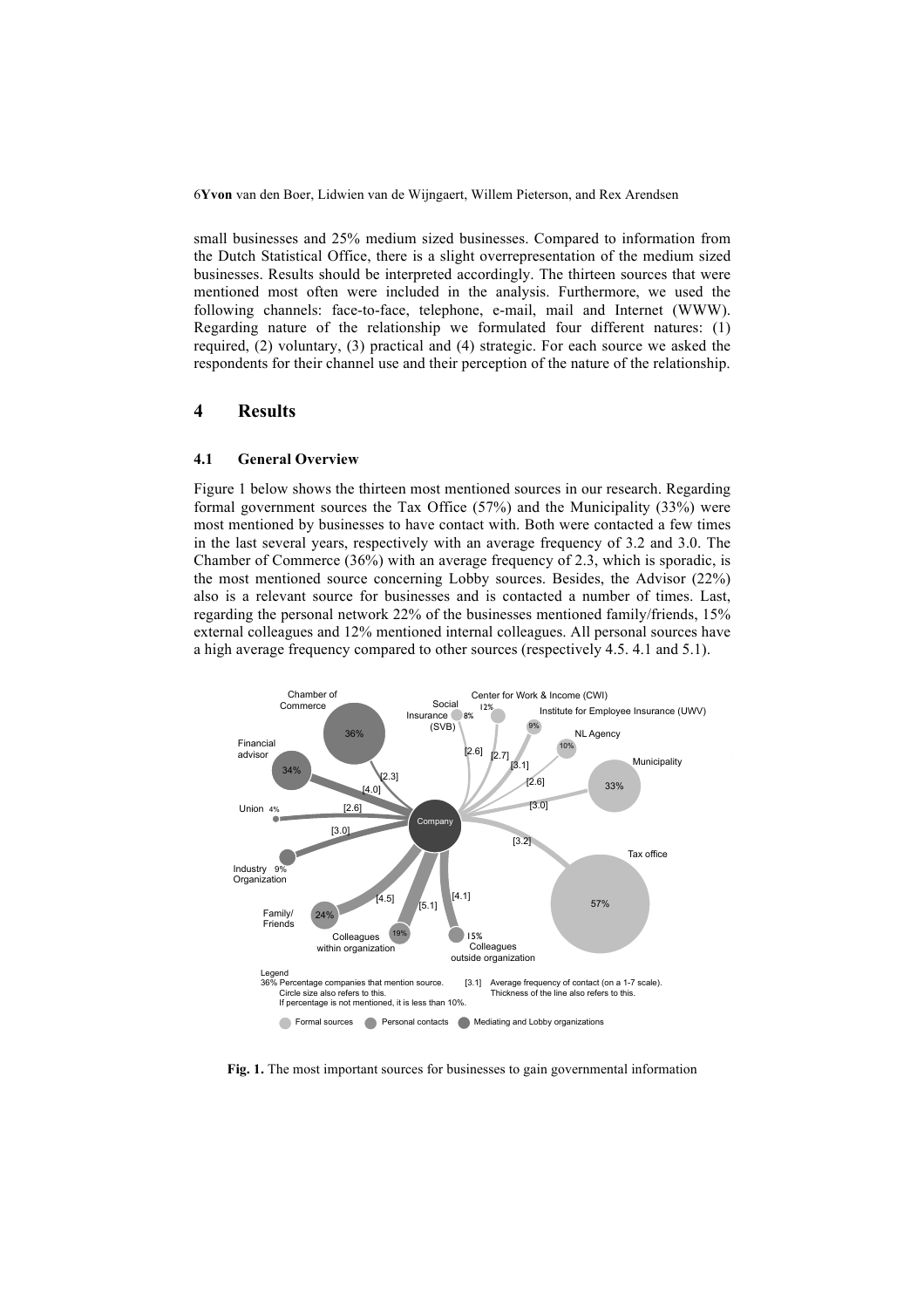small businesses and 25% medium sized businesses. Compared to information from the Dutch Statistical Office, there is a slight overrepresentation of the medium sized businesses. Results should be interpreted accordingly. The thirteen sources that were mentioned most often were included in the analysis. Furthermore, we used the following channels: face-to-face, telephone, e-mail, mail and Internet (WWW). Regarding nature of the relationship we formulated four different natures: (1) required, (2) voluntary, (3) practical and (4) strategic. For each source we asked the respondents for their channel use and their perception of the nature of the relationship.

### **4 Results**

### **4.1 General Overview**

Figure 1 below shows the thirteen most mentioned sources in our research. Regarding formal government sources the Tax Office (57%) and the Municipality (33%) were most mentioned by businesses to have contact with. Both were contacted a few times in the last several years, respectively with an average frequency of 3.2 and 3.0. The Chamber of Commerce (36%) with an average frequency of 2.3, which is sporadic, is the most mentioned source concerning Lobby sources. Besides, the Advisor (22%) also is a relevant source for businesses and is contacted a number of times. Last, regarding the personal network 22% of the businesses mentioned family/friends, 15% external colleagues and 12% mentioned internal colleagues. All personal sources have a high average frequency compared to other sources (respectively 4.5. 4.1 and 5.1).



**Fig. 1.** The most important sources for businesses to gain governmental information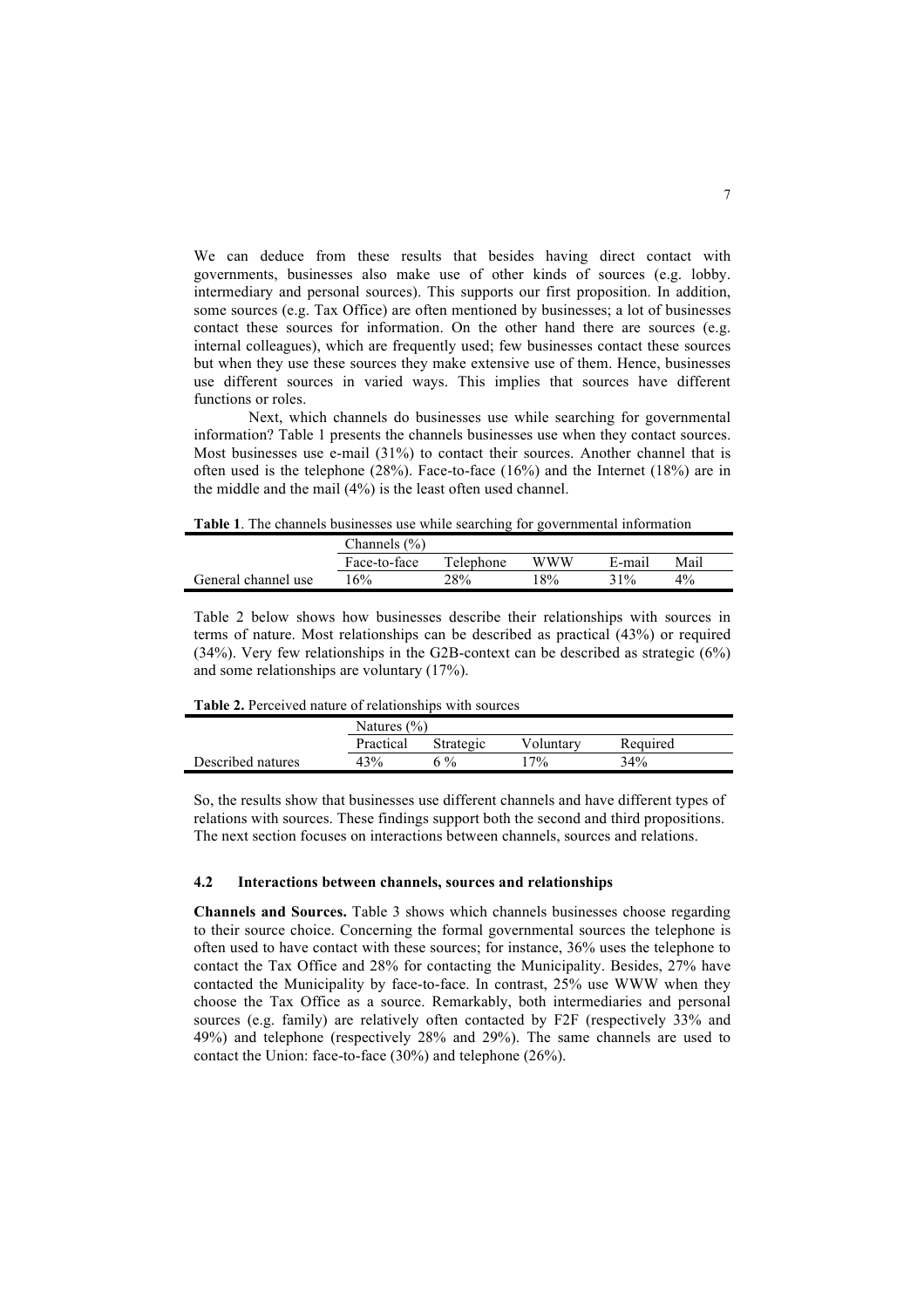We can deduce from these results that besides having direct contact with governments, businesses also make use of other kinds of sources (e.g. lobby. intermediary and personal sources). This supports our first proposition. In addition, some sources (e.g. Tax Office) are often mentioned by businesses; a lot of businesses contact these sources for information. On the other hand there are sources (e.g. internal colleagues), which are frequently used; few businesses contact these sources but when they use these sources they make extensive use of them. Hence, businesses use different sources in varied ways. This implies that sources have different functions or roles.

Next, which channels do businesses use while searching for governmental information? Table 1 presents the channels businesses use when they contact sources. Most businesses use e-mail (31%) to contact their sources. Another channel that is often used is the telephone (28%). Face-to-face (16%) and the Internet (18%) are in the middle and the mail (4%) is the least often used channel.

**Table 1**. The channels businesses use while searching for governmental information

|                     | Channels $(\% )$ |           |      |        |       |  |  |
|---------------------|------------------|-----------|------|--------|-------|--|--|
|                     | Face-to-face     | Telephone | www  | E-mail | Mail  |  |  |
| General channel use | 6%               | 28%       | l 8% | 31%    | $4\%$ |  |  |

Table 2 below shows how businesses describe their relationships with sources in terms of nature. Most relationships can be described as practical (43%) or required (34%). Very few relationships in the G2B-context can be described as strategic (6%) and some relationships are voluntary (17%).

| Table 2. Perceived nature of relationships with sources |
|---------------------------------------------------------|
|                                                         |

| Practical<br>Strategic<br>Required<br>√oluntarv<br>$7\%$<br>34%<br>Described natures<br>43%<br>$\frac{0}{0}$ |  |
|--------------------------------------------------------------------------------------------------------------|--|
|                                                                                                              |  |
|                                                                                                              |  |

So, the results show that businesses use different channels and have different types of relations with sources. These findings support both the second and third propositions. The next section focuses on interactions between channels, sources and relations.

### **4.2 Interactions between channels, sources and relationships**

**Channels and Sources.** Table 3 shows which channels businesses choose regarding to their source choice. Concerning the formal governmental sources the telephone is often used to have contact with these sources; for instance, 36% uses the telephone to contact the Tax Office and 28% for contacting the Municipality. Besides, 27% have contacted the Municipality by face-to-face. In contrast, 25% use WWW when they choose the Tax Office as a source. Remarkably, both intermediaries and personal sources (e.g. family) are relatively often contacted by F2F (respectively 33% and 49%) and telephone (respectively 28% and 29%). The same channels are used to contact the Union: face-to-face (30%) and telephone (26%).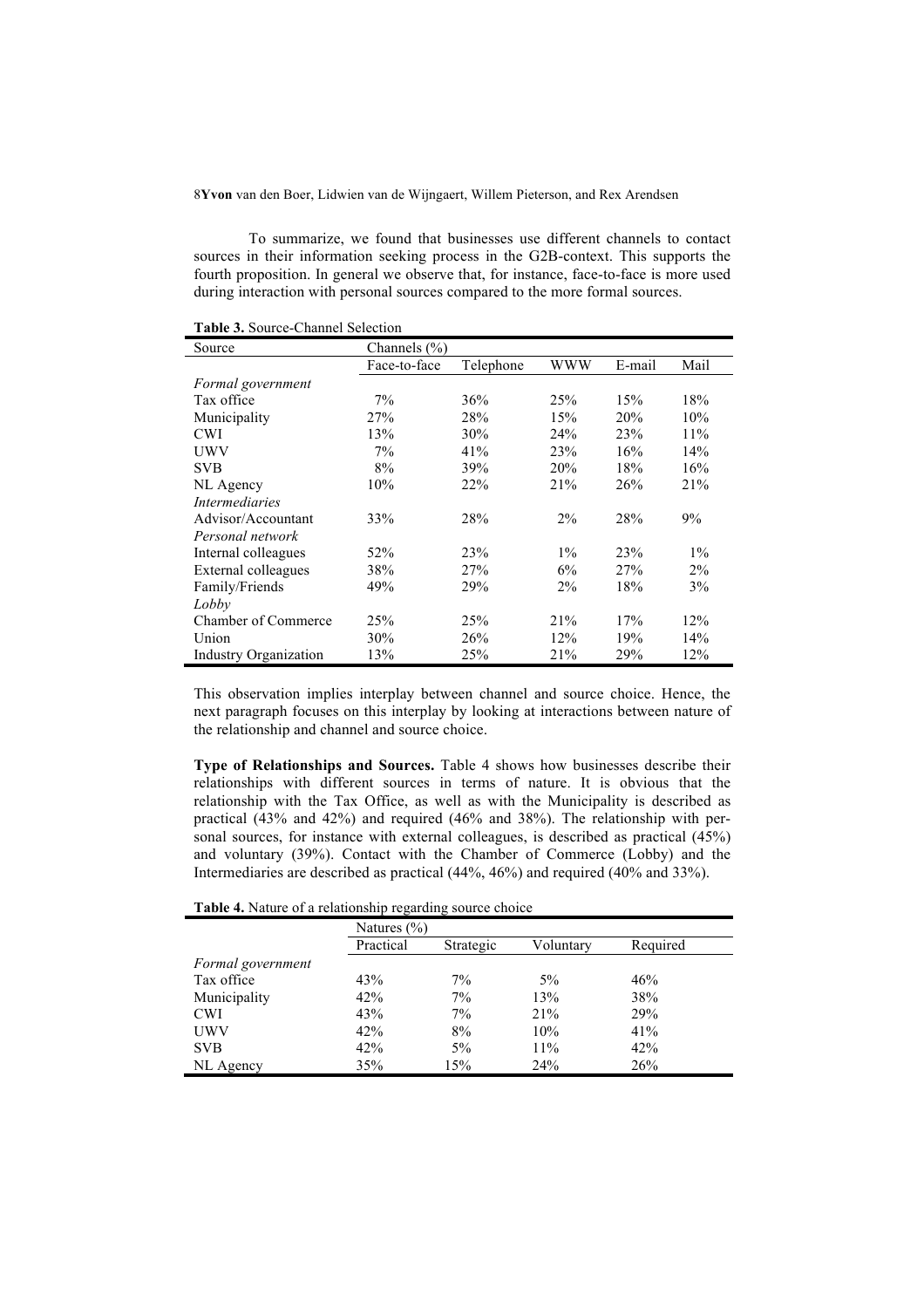To summarize, we found that businesses use different channels to contact sources in their information seeking process in the G2B-context. This supports the fourth proposition. In general we observe that, for instance, face-to-face is more used during interaction with personal sources compared to the more formal sources.

| Source                       | Channels (%) |                 |            |                 |       |
|------------------------------|--------------|-----------------|------------|-----------------|-------|
|                              | Face-to-face | Telephone       | WWW        | E-mail          | Mail  |
| Formal government            |              |                 |            |                 |       |
| Tax office                   | $7\%$        | 36%             | 25%        | 15%             | 18%   |
| Municipality                 | 27%          | 28%             | 15%        | 20%             | 10%   |
| <b>CWI</b>                   | 13%          | 30%             | 24%        | 23%             | 11%   |
| UWV                          | 7%           | 41%             | 23%        | 16%             | 14%   |
| <b>SVB</b>                   | 8%           | 39%             | <b>20%</b> | 18%             | 16%   |
| NL Agency                    | 10%          | 22 <sup>%</sup> | 21%        | 26%             | 21%   |
| <i>Intermediaries</i>        |              |                 |            |                 |       |
| Advisor/Accountant           | 33%          | 28%             | $2\%$      | 28%             | 9%    |
| Personal network             |              |                 |            |                 |       |
| Internal colleagues          | 52%          | 23%             | $1\%$      | 23%             | $1\%$ |
| External colleagues          | 38%          | 27 <sup>%</sup> | $6\%$      | 27 <sup>%</sup> | $2\%$ |
| Family/Friends               | 49%          | 29%             | $2\%$      | 18%             | 3%    |
| Lobby                        |              |                 |            |                 |       |
| Chamber of Commerce          | 25%          | 25%             | 21%        | 17%             | 12%   |
| Union                        | 30%          | 26%             | 12%        | 19%             | 14%   |
| <b>Industry Organization</b> | 13%          | 25%             | 21%        | 29%             | 12%   |

**Table 3.** Source-Channel Selection

This observation implies interplay between channel and source choice. Hence, the next paragraph focuses on this interplay by looking at interactions between nature of the relationship and channel and source choice.

**Type of Relationships and Sources.** Table 4 shows how businesses describe their relationships with different sources in terms of nature. It is obvious that the relationship with the Tax Office, as well as with the Municipality is described as practical (43% and 42%) and required (46% and 38%). The relationship with personal sources, for instance with external colleagues, is described as practical (45%) and voluntary (39%). Contact with the Chamber of Commerce (Lobby) and the Intermediaries are described as practical (44%, 46%) and required (40% and 33%).

**Table 4.** Nature of a relationship regarding source choice

|                   | Natures $(\% )$ |           |           |          |
|-------------------|-----------------|-----------|-----------|----------|
|                   | Practical       | Strategic | Voluntary | Required |
| Formal government |                 |           |           |          |
| Tax office        | 43%             | $7\%$     | $5\%$     | 46%      |
| Municipality      | 42%             | $7\%$     | 13%       | 38%      |
| <b>CWI</b>        | 43%             | $7\%$     | 21%       | 29%      |
| UWV               | 42%             | 8%        | 10%       | 41%      |
| <b>SVB</b>        | 42%             | $5\%$     | 11%       | 42%      |
| NL Agency         | 35%             | 15%       | 24%       | 26%      |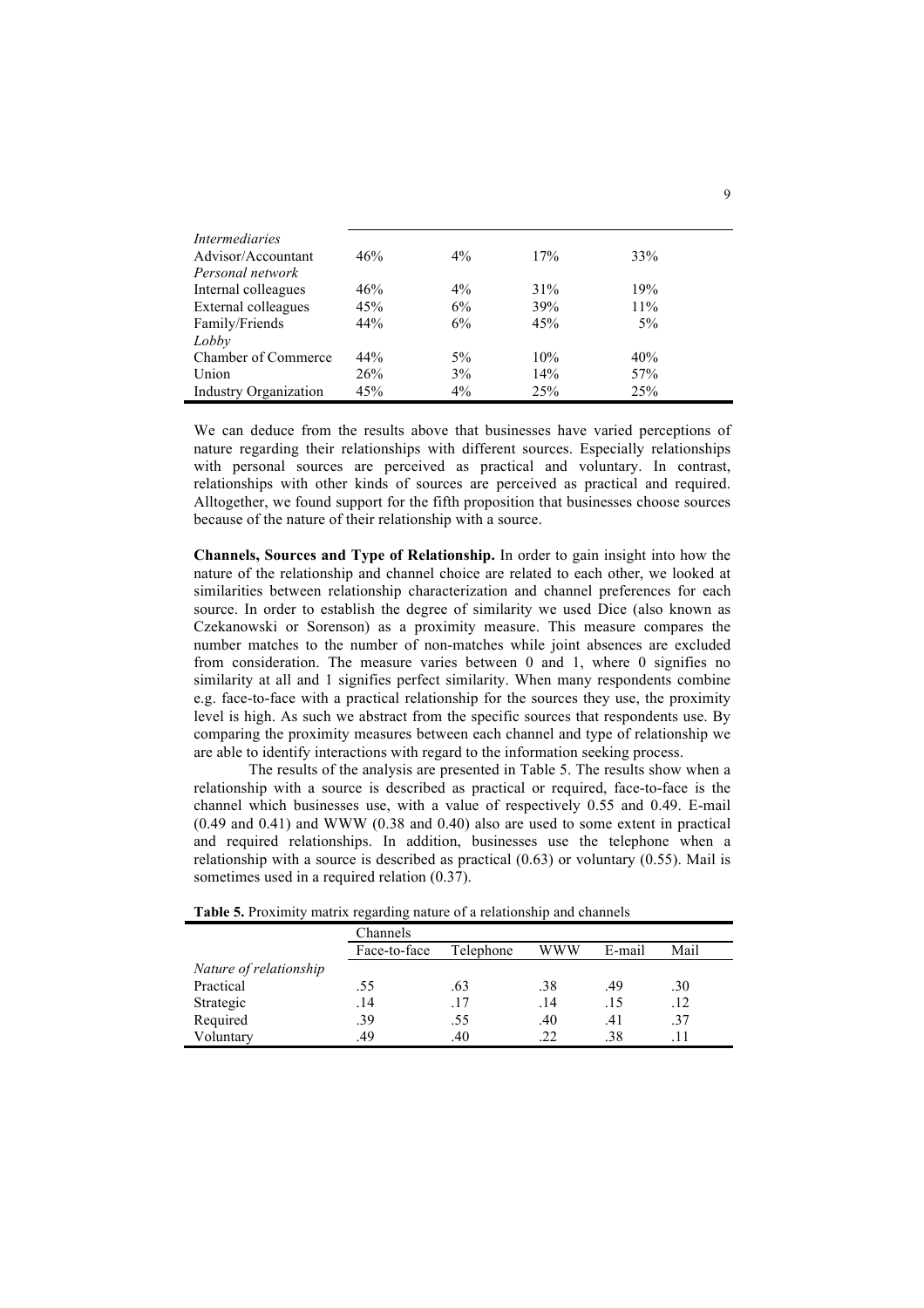| <i>Intermediaries</i><br>Advisor/Accountant | 46% | $4\%$ | 17% | 33%   |  |
|---------------------------------------------|-----|-------|-----|-------|--|
| Personal network                            |     |       |     |       |  |
| Internal colleagues                         | 46% | $4\%$ | 31% | 19%   |  |
| External colleagues                         | 45% | 6%    | 39% | 11%   |  |
| Family/Friends                              | 44% | 6%    | 45% | $5\%$ |  |
| Lobby                                       |     |       |     |       |  |
| Chamber of Commerce                         | 44% | $5\%$ | 10% | 40%   |  |
| Union                                       | 26% | 3%    | 14% | 57%   |  |
| <b>Industry Organization</b>                | 45% | 4%    | 25% | 25%   |  |

We can deduce from the results above that businesses have varied perceptions of nature regarding their relationships with different sources. Especially relationships with personal sources are perceived as practical and voluntary. In contrast, relationships with other kinds of sources are perceived as practical and required. Alltogether, we found support for the fifth proposition that businesses choose sources because of the nature of their relationship with a source.

**Channels, Sources and Type of Relationship.** In order to gain insight into how the nature of the relationship and channel choice are related to each other, we looked at similarities between relationship characterization and channel preferences for each source. In order to establish the degree of similarity we used Dice (also known as Czekanowski or Sorenson) as a proximity measure. This measure compares the number matches to the number of non-matches while joint absences are excluded from consideration. The measure varies between 0 and 1, where 0 signifies no similarity at all and 1 signifies perfect similarity. When many respondents combine e.g. face-to-face with a practical relationship for the sources they use, the proximity level is high. As such we abstract from the specific sources that respondents use. By comparing the proximity measures between each channel and type of relationship we are able to identify interactions with regard to the information seeking process.

The results of the analysis are presented in Table 5. The results show when a relationship with a source is described as practical or required, face-to-face is the channel which businesses use, with a value of respectively 0.55 and 0.49. E-mail (0.49 and 0.41) and WWW (0.38 and 0.40) also are used to some extent in practical and required relationships. In addition, businesses use the telephone when a relationship with a source is described as practical (0.63) or voluntary (0.55). Mail is sometimes used in a required relation  $(0.37)$ .

|                        | Channels     |           |     |        |      |  |
|------------------------|--------------|-----------|-----|--------|------|--|
|                        | Face-to-face | Telephone | www | E-mail | Mail |  |
| Nature of relationship |              |           |     |        |      |  |
| Practical              | .55          | .63       | .38 | .49    | .30  |  |
| Strategic              | .14          | .17       | .14 | .15    | .12  |  |
| Required               | .39          | .55       | .40 | .41    | .37  |  |
| Voluntary              | .49          | 40        | 22  | .38    |      |  |

**Table 5.** Proximity matrix regarding nature of a relationship and channels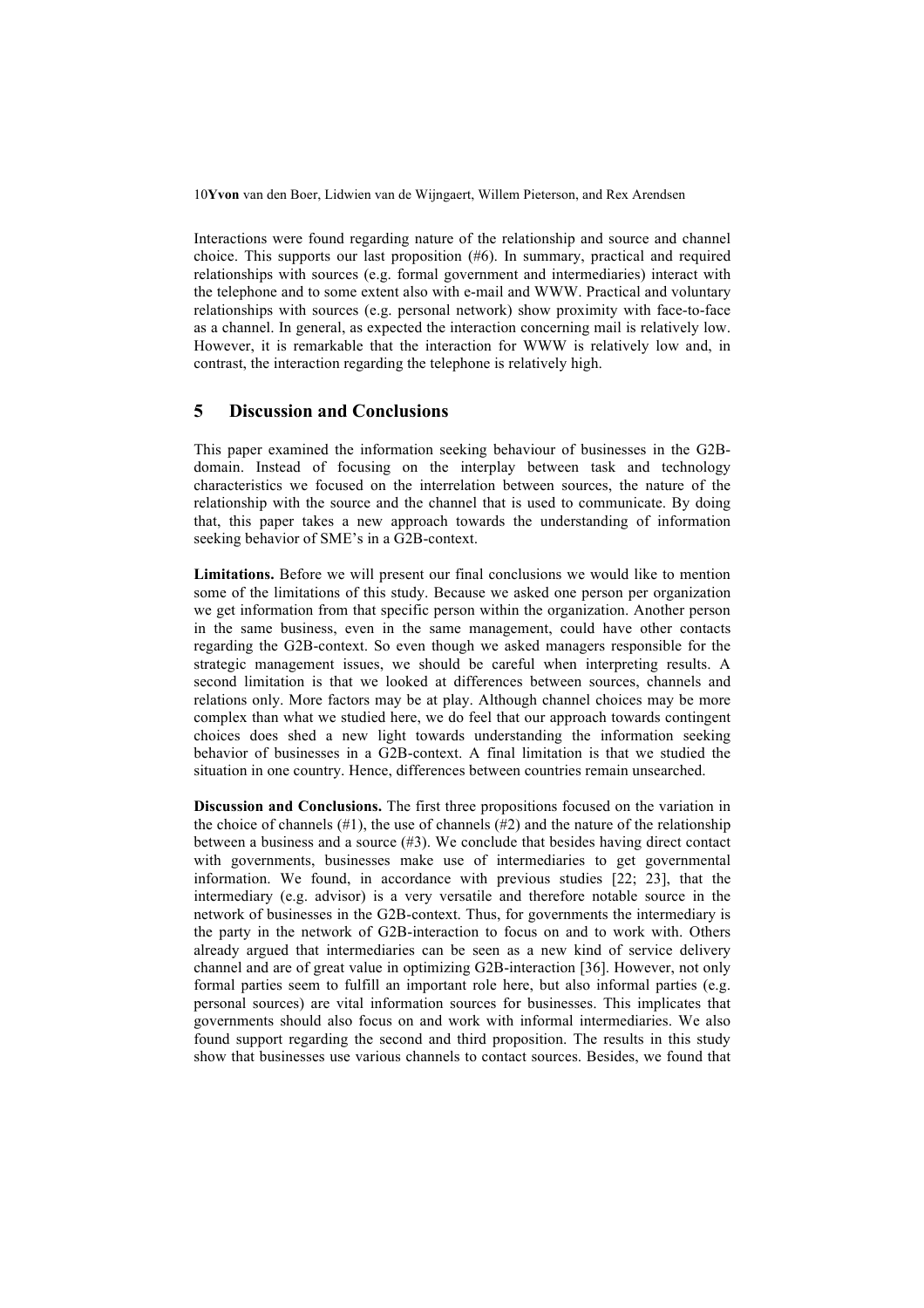Interactions were found regarding nature of the relationship and source and channel choice. This supports our last proposition (#6). In summary, practical and required relationships with sources (e.g. formal government and intermediaries) interact with the telephone and to some extent also with e-mail and WWW. Practical and voluntary relationships with sources (e.g. personal network) show proximity with face-to-face as a channel. In general, as expected the interaction concerning mail is relatively low. However, it is remarkable that the interaction for WWW is relatively low and, in contrast, the interaction regarding the telephone is relatively high.

# **5 Discussion and Conclusions**

This paper examined the information seeking behaviour of businesses in the G2Bdomain. Instead of focusing on the interplay between task and technology characteristics we focused on the interrelation between sources, the nature of the relationship with the source and the channel that is used to communicate. By doing that, this paper takes a new approach towards the understanding of information seeking behavior of SME's in a G2B-context.

**Limitations.** Before we will present our final conclusions we would like to mention some of the limitations of this study. Because we asked one person per organization we get information from that specific person within the organization. Another person in the same business, even in the same management, could have other contacts regarding the G2B-context. So even though we asked managers responsible for the strategic management issues, we should be careful when interpreting results. A second limitation is that we looked at differences between sources, channels and relations only. More factors may be at play. Although channel choices may be more complex than what we studied here, we do feel that our approach towards contingent choices does shed a new light towards understanding the information seeking behavior of businesses in a G2B-context. A final limitation is that we studied the situation in one country. Hence, differences between countries remain unsearched.

**Discussion and Conclusions.** The first three propositions focused on the variation in the choice of channels (#1), the use of channels (#2) and the nature of the relationship between a business and a source (#3). We conclude that besides having direct contact with governments, businesses make use of intermediaries to get governmental information. We found, in accordance with previous studies [22; 23], that the intermediary (e.g. advisor) is a very versatile and therefore notable source in the network of businesses in the G2B-context. Thus, for governments the intermediary is the party in the network of G2B-interaction to focus on and to work with. Others already argued that intermediaries can be seen as a new kind of service delivery channel and are of great value in optimizing G2B-interaction [36]. However, not only formal parties seem to fulfill an important role here, but also informal parties (e.g. personal sources) are vital information sources for businesses. This implicates that governments should also focus on and work with informal intermediaries. We also found support regarding the second and third proposition. The results in this study show that businesses use various channels to contact sources. Besides, we found that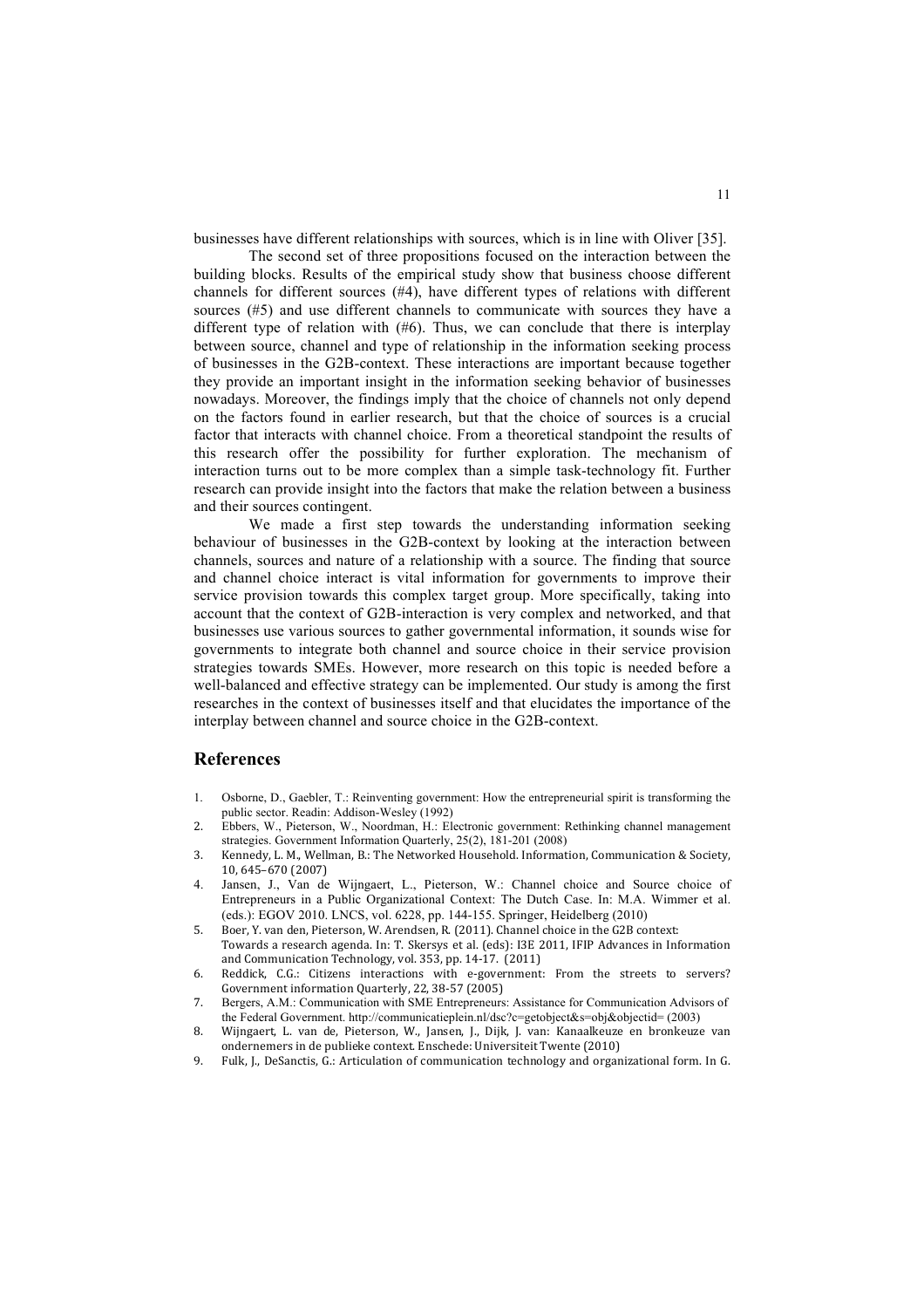businesses have different relationships with sources, which is in line with Oliver [35].

The second set of three propositions focused on the interaction between the building blocks. Results of the empirical study show that business choose different channels for different sources (#4), have different types of relations with different sources (#5) and use different channels to communicate with sources they have a different type of relation with (#6). Thus, we can conclude that there is interplay between source, channel and type of relationship in the information seeking process of businesses in the G2B-context. These interactions are important because together they provide an important insight in the information seeking behavior of businesses nowadays. Moreover, the findings imply that the choice of channels not only depend on the factors found in earlier research, but that the choice of sources is a crucial factor that interacts with channel choice. From a theoretical standpoint the results of this research offer the possibility for further exploration. The mechanism of interaction turns out to be more complex than a simple task-technology fit. Further research can provide insight into the factors that make the relation between a business and their sources contingent.

We made a first step towards the understanding information seeking behaviour of businesses in the G2B-context by looking at the interaction between channels, sources and nature of a relationship with a source. The finding that source and channel choice interact is vital information for governments to improve their service provision towards this complex target group. More specifically, taking into account that the context of G2B-interaction is very complex and networked, and that businesses use various sources to gather governmental information, it sounds wise for governments to integrate both channel and source choice in their service provision strategies towards SMEs. However, more research on this topic is needed before a well-balanced and effective strategy can be implemented. Our study is among the first researches in the context of businesses itself and that elucidates the importance of the interplay between channel and source choice in the G2B-context.

# **References**

- 1. Osborne, D., Gaebler, T.: Reinventing government: How the entrepreneurial spirit is transforming the public sector. Readin: Addison-Wesley (1992)
- 2. Ebbers, W., Pieterson, W., Noordman, H.: Electronic government: Rethinking channel management strategies. Government Information Quarterly, 25(2), 181-201 (2008)
- 3. Kennedy, L. M., Wellman, B.: The Networked Household. Information, Communication & Society, 10, 645-670 (2007)
- 4. Jansen, J., Van de Wijngaert, L., Pieterson, W.: Channel choice and Source choice of Entrepreneurs in a Public Organizational Context: The Dutch Case. In: M.A. Wimmer et al. (eds.): EGOV 2010. LNCS, vol. 6228, pp. 144-155. Springer, Heidelberg (2010)
- 5. Boer, Y. van den, Pieterson, W. Arendsen, R. (2011). Channel choice in the G2B context: Towards a research agenda. In: T. Skersys et al. (eds): I3E 2011, IFIP Advances in Information and Communication Technology, vol.  $353$ , pp.  $14-17$ .  $(2011)$
- 6. Reddick, C.G.: Citizens interactions with e-government: From the streets to servers? Government information Quarterly, 22, 38-57 (2005)
- 7. Bergers, A.M.: Communication with SME Entrepreneurs: Assistance for Communication Advisors of the Federal Government. http://communicatieplein.nl/dsc?c=getobject&s=obj&objectid= (2003)
- 8. Wijngaert, L. van de, Pieterson, W., Jansen, J., Dijk, J. van: Kanaalkeuze en bronkeuze van ondernemers in de publieke context. Enschede: Universiteit Twente (2010)
- 9. Fulk, J., DeSanctis, G.: Articulation of communication technology and organizational form. In G.